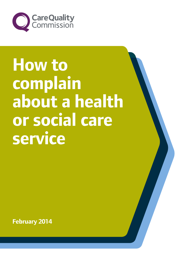

# **How to complain about a health or social care service**

**February 2014**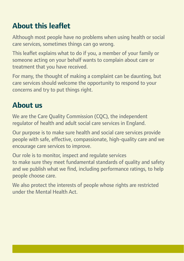# **About this leaflet**

Although most people have no problems when using health or social care services, sometimes things can go wrong.

This leaflet explains what to do if you, a member of your family or someone acting on your behalf wants to complain about care or treatment that you have received.

For many, the thought of making a complaint can be daunting, but care services should welcome the opportunity to respond to your concerns and try to put things right.

# **About us**

We are the Care Quality Commission (CQC), the independent regulator of health and adult social care services in England.

Our purpose is to make sure health and social care services provide people with safe, effective, compassionate, high-quality care and we encourage care services to improve.

Our role is to monitor, inspect and regulate services to make sure they meet fundamental standards of quality and safety and we publish what we find, including performance ratings, to help people choose care.

We also protect the interests of people whose rights are restricted under the Mental Health Act.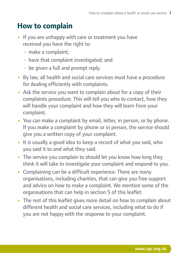## **How to complain**

- If you are unhappy with care or treatment you have received you have the right to:
	- − make a complaint;
	- − have that complaint investigated; and
	- − be given a full and prompt reply.
- **•**  By law, all health and social care services must have a procedure for dealing efficiently with complaints.
- **•**  Ask the service you want to complain about for a copy of their complaints procedure. This will tell you who to contact, how they will handle your complaint and how they will learn from your complaint.
- You can make a complaint by email, letter, in person, or by phone. If you make a complaint by phone or in person, the service should give you a written copy of your complaint.
- It is usually a good idea to keep a record of what you said, who you said it to and what they said.
- The service you complain to should let you know how long they think it will take to investigate your complaint and respond to you.
- **•**  Complaining can be a difficult experience. There are many organisations, including charities, that can give you free support and advice on how to make a complaint. We mention some of the organisations that can help in section 5 of this leaflet.
- The rest of this leaflet gives more detail on how to complain about different health and social care services, including what to do if you are not happy with the response to your complaint.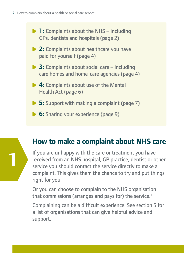**1**

**1:** Complaints about the NHS – including GPs, dentists and hospitals (page 2) **2:** Complaints about healthcare you have paid for yourself (page 4) **3:** Complaints about social care – including care homes and home-care agencies (page 4) **4:** Complaints about use of the Mental Health Act (page 6) **5:** Support with making a complaint (page 7) **6:** Sharing your experience (page 9)

# **How to make a complaint about NHS care**

If you are unhappy with the care or treatment you have received from an NHS hospital, GP practice, dentist or other service you should contact the service directly to make a complaint. This gives them the chance to try and put things right for you.

Or you can choose to complain to the NHS organisation that commissions (arranges and pays for) the service.<sup>1</sup>

Complaining can be a difficult experience. See section 5 for a list of organisations that can give helpful advice and support.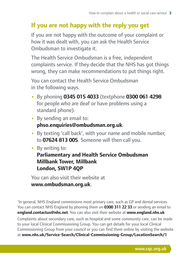## **If you are not happy with the reply you get**

If you are not happy with the outcome of your complaint or how it was dealt with, you can ask the Health Service Ombudsman to investigate it.

The Health Service Ombudsman is a free, independent complaints service. If they decide that the NHS has got things wrong, they can make recommendations to put things right.

You can contact the Health Service Ombudsman in the following ways.

- **•**  By phoning **0345 015 4033** (textphone **0300 061 4298** for people who are deaf or have problems using a standard phone).
- **•**  By sending an email to: **phso.enquiries@ombudsman.org.uk**.
- **•**  By texting 'call back', with your name and mobile number, to **07624 813 005**. Someone will then call you.
- **•**  By writing to:

#### **Parliamentary and Health Service Ombudsman Millbank Tower, Millbank London, SW1P 4QP**

You can also visit their website at **www.ombudsman.org.uk**.

<sup>1</sup>In general, NHS England commissions most primary care, such as GP and dental services. You can contact NHS England by phoning them on **0300 311 22 33** or sending an email to **england.contactus@nhs.net**. You can also visit their website at **www.england.nhs.uk** Complaints about secondary care, such as hospital and some community care, can be made to your local Clinical Commissioning Group. You can get details for your local Clinical Commissioning Group from your council or you can find them online by visiting the website at **www.nhs.uk/Service-Search/Clinical-Commissioning-Group/LocationSearch/1**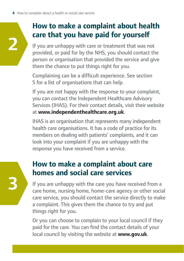**2**

**3**

# **How to make a complaint about health care that you have paid for yourself**

If you are unhappy with care or treatment that was not provided, or paid for by the NHS, you should contact the person or organisation that provided the service and give them the chance to put things right for you.

Complaining can be a difficult experience. See section 5 for a list of organisations that can help.

If you are not happy with the response to your complaint, you can contact the Independent Healthcare Advisory Services (IHAS). For their contact details, visit their website at **www.independenthealthcare.org.uk**.

IHAS is an organisation that represents many independent health care organisations. It has a code of practice for its members on dealing with patients' complaints, and it can look into your complaint if you are unhappy with the response you have received from a service.

# **How to make a complaint about care homes and social care services**

If you are unhappy with the care you have received from a care home, nursing home, home-care agency or other social care service, you should contact the service directly to make a complaint. This gives them the chance to try and put things right for you.

Or you can choose to complain to your local council if they paid for the care. You can find the contact details of your local council by visiting the website at **www.gov.uk**.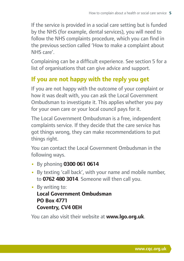If the service is provided in a social care setting but is funded by the NHS (for example, dental services), you will need to follow the NHS complaints procedure, which you can find in the previous section called 'How to make a complaint about NHS care'.

Complaining can be a difficult experience. See section 5 for a list of organisations that can give advice and support.

## **If you are not happy with the reply you get**

If you are not happy with the outcome of your complaint or how it was dealt with, you can ask the Local Government Ombudsman to investigate it. This applies whether you pay for your own care or your local council pays for it.

The Local Government Ombudsman is a free, independent complaints service. If they decide that the care service has got things wrong, they can make recommendations to put things right.

You can contact the Local Government Ombudsman in the following ways.

- **•**  By phoning **0300 061 0614**
- **•**  By texting 'call back', with your name and mobile number, to **0762 480 3014**. Someone will then call you.

**•**  By writing to: **Local Government Ombudsman PO Box 4771 Coventry, CV4 0EH**

You can also visit their website at **www.lgo.org.uk**.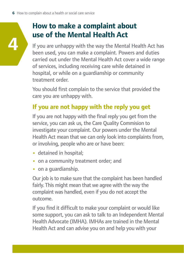**4**

# **How to make a complaint about use of the Mental Health Act**

If you are unhappy with the way the Mental Health Act has been used, you can make a complaint. Powers and duties carried out under the Mental Health Act cover a wide range of services, including receiving care while detained in hospital, or while on a guardianship or community treatment order.

You should first complain to the service that provided the care you are unhappy with.

## **If you are not happy with the reply you get**

If you are not happy with the final reply you get from the service, you can ask us, the Care Quality Commision to investigate your complaint. Our powers under the Mental Health Act mean that we can only look into complaints from, or involving, people who are or have been:

- **•**  detained in hospital;
- **•**  on a community treatment order; and
- **•**  on a guardianship.

Our job is to make sure that the complaint has been handled fairly. This might mean that we agree with the way the complaint was handled, even if you do not accept the outcome.

If you find it difficult to make your complaint or would like some support, you can ask to talk to an Independent Mental Health Advocate (IMHA). IMHAs are trained in the Mental Health Act and can advise you on and help you with your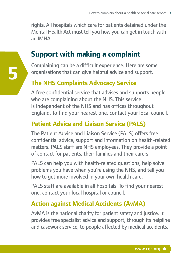rights. All hospitals which care for patients detained under the Mental Health Act must tell you how you can get in touch with an IMHA.

## **Support with making a complaint**

Complaining can be a difficult experience. Here are some organisations that can give helpful advice and support.

### **The NHS Complaints Advocacy Service**

**5**

A free confidential service that advises and supports people who are complaining about the NHS. This service is independent of the NHS and has offices throughout England. To find your nearest one, contact your local council.

### **Patient Advice and Liaison Service (PALS)**

The Patient Advice and Liaison Service (PALS) offers free confidential advice, support and information on health-related matters. PALS staff are NHS employees. They provide a point of contact for patients, their families and their carers.

PALS can help you with health-related questions, help solve problems you have when you're using the NHS, and tell you how to get more involved in your own health care.

PALS staff are available in all hospitals. To find your nearest one, contact your local hospital or council.

#### **Action against Medical Accidents (AvMA)**

AvMA is the national charity for patient safety and justice. It provides free specialist advice and support, through its helpline and casework service, to people affected by medical accidents.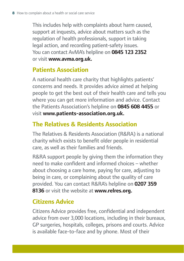This includes help with complaints about harm caused, support at inquests, advice about matters such as the regulation of health professionals, support in taking legal action, and recording patient-safety issues. You can contact AvMA's helpline on **0845 123 2352** or visit **www.avma.org.uk.** 

## **Patients Association**

A national health care charity that highlights patients' concerns and needs. It provides advice aimed at helping people to get the best out of their health care and tells you where you can get more information and advice. Contact the Patients Association's helpline on **0845 608 4455** or visit **www.patients-association.org.uk.**

## **The Relatives & Residents Association**

The Relatives & Residents Association (R&RA) is a national charity which exists to benefit older people in residential care, as well as their families and friends.

R&RA support people by giving them the information they need to make confident and informed choices – whether about choosing a care home, paying for care, adjusting to being in care, or complaining about the quality of care provided. You can contact R&RA's helpline on **0207 359 8136** or visit the website at **www.relres.org.**

## **Citizens Advice**

Citizens Advice provides free, confidential and independent advice from over 3,000 locations, including in their bureaux, GP surgeries, hospitals, colleges, prisons and courts. Advice is available face-to-face and by phone. Most of their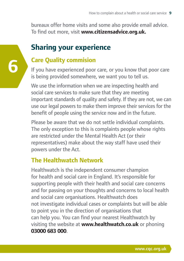bureaux offer home visits and some also provide email advice. To find out more, visit **www.citizensadvice.org.uk.**

# **Sharing your experience**

## **Care Quality commision**

**6**

If you have experienced poor care, or you know that poor care is being provided somewhere, we want you to tell us.

We use the information when we are inspecting health and social care services to make sure that they are meeting important standards of quality and safety. If they are not, we can use our legal powers to make them improve their services for the benefit of people using the service now and in the future.

Please be aware that we do not settle individual complaints. The only exception to this is complaints people whose rights are restricted under the Mental Health Act (or their representatives) make about the way staff have used their powers under the Act.

## **The Healthwatch Network**

Healthwatch is the independent consumer champion for health and social care in England. It's responsible for supporting people with their health and social care concerns and for passing on your thoughts and concerns to local health and social care organisations. Healthwatch does not investigate individual cases or complaints but will be able to point you in the direction of organisations that can help you. You can find your nearest Healthwatch by visiting the website at **www.healthwatch.co.uk** or phoning **03000 683 000**.